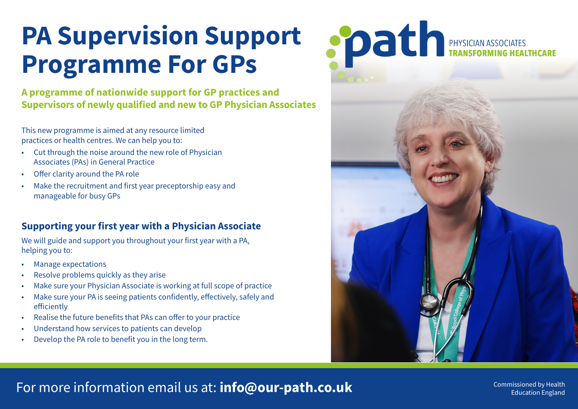# **PA Supervision Support Programme For GPs**

**A programme of nationwide support for GP practices and Supervisors of newly qualified and new to GP Physician Associates**

This new programme is aimed at any resource limited practices or health centres. We can help you to:

- Cut through the noise around the new role of Physician Associates (PAs) in General Practice
- Offer clarity around the PA role
- Make the recruitment and first year preceptorship easy and manageable for busy GPs

## **Supporting your first year with a Physician Associate**

We will guide and support you throughout your first year with a PA, helping you to:

- Manage expectations
- Resolve problems quickly as they arise
- Make sure your Physician Associate is working at full scope of practice
- Make sure your PA is seeing patients confidently, effectively, safely and efficiently
- Realise the future benefits that PAs can offer to your practice
- Understand how services to patients can develop
- Develop the PA role to benefit you in the long term.



## For more information email us at: **info@our-path.co.uk** Commissioned by Health

Education England